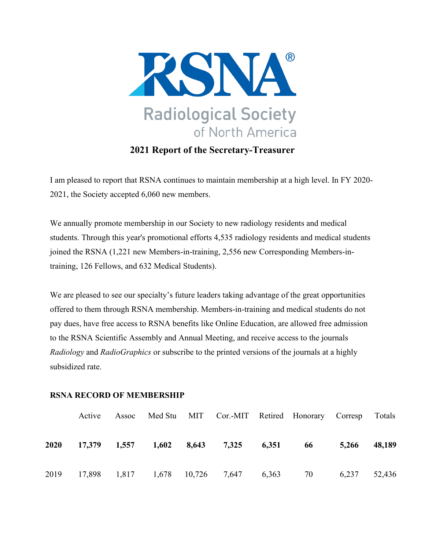

**2021 Report of the Secretary-Treasurer**

I am pleased to report that RSNA continues to maintain membership at a high level. In FY 2020- 2021, the Society accepted 6,060 new members.

We annually promote membership in our Society to new radiology residents and medical students. Through this year's promotional efforts 4,535 radiology residents and medical students joined the RSNA (1,221 new Members-in-training, 2,556 new Corresponding Members-intraining, 126 Fellows, and 632 Medical Students).

We are pleased to see our specialty's future leaders taking advantage of the great opportunities offered to them through RSNA membership. Members-in-training and medical students do not pay dues, have free access to RSNA benefits like Online Education, are allowed free admission to the RSNA Scientific Assembly and Annual Meeting, and receive access to the journals *Radiology* and *RadioGraphics* or subscribe to the printed versions of the journals at a highly subsidized rate.

## **RSNA RECORD OF MEMBERSHIP**

|      | Active | Assoc |  | Med Stu MIT Cor.-MIT Retired Honorary Corresp Totals |  |              |        |
|------|--------|-------|--|------------------------------------------------------|--|--------------|--------|
| 2020 |        |       |  | 17,379 1,557 1,602 8,643 7,325 6,351 66              |  | 5,266        | 48,189 |
|      |        |       |  | 2019 17,898 1,817 1,678 10,726 7,647 6,363 70        |  | 6,237 52,436 |        |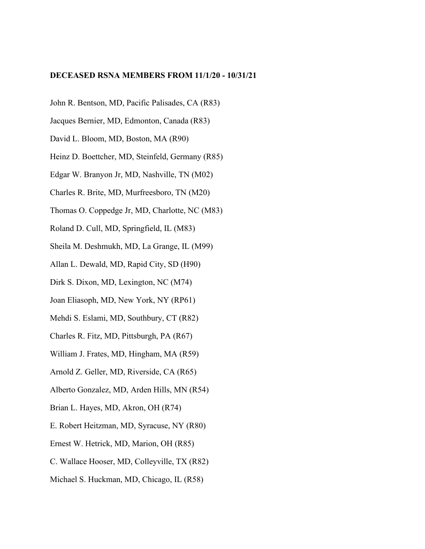#### **DECEASED RSNA MEMBERS FROM 11/1/20 - 10/31/21**

- John R. Bentson, MD, Pacific Palisades, CA (R83)
- Jacques Bernier, MD, Edmonton, Canada (R83)
- David L. Bloom, MD, Boston, MA (R90)
- Heinz D. Boettcher, MD, Steinfeld, Germany (R85)
- Edgar W. Branyon Jr, MD, Nashville, TN (M02)
- Charles R. Brite, MD, Murfreesboro, TN (M20)
- Thomas O. Coppedge Jr, MD, Charlotte, NC (M83)
- Roland D. Cull, MD, Springfield, IL (M83)
- Sheila M. Deshmukh, MD, La Grange, IL (M99)
- Allan L. Dewald, MD, Rapid City, SD (H90)
- Dirk S. Dixon, MD, Lexington, NC (M74)
- Joan Eliasoph, MD, New York, NY (RP61)
- Mehdi S. Eslami, MD, Southbury, CT (R82)
- Charles R. Fitz, MD, Pittsburgh, PA (R67)
- William J. Frates, MD, Hingham, MA (R59)
- Arnold Z. Geller, MD, Riverside, CA (R65)
- Alberto Gonzalez, MD, Arden Hills, MN (R54)
- Brian L. Hayes, MD, Akron, OH (R74)
- E. Robert Heitzman, MD, Syracuse, NY (R80)
- Ernest W. Hetrick, MD, Marion, OH (R85)
- C. Wallace Hooser, MD, Colleyville, TX (R82)
- Michael S. Huckman, MD, Chicago, IL (R58)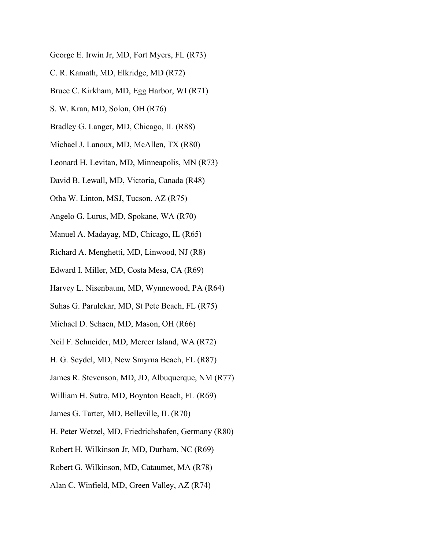- George E. Irwin Jr, MD, Fort Myers, FL (R73)
- C. R. Kamath, MD, Elkridge, MD (R72)
- Bruce C. Kirkham, MD, Egg Harbor, WI (R71)
- S. W. Kran, MD, Solon, OH (R76)
- Bradley G. Langer, MD, Chicago, IL (R88)
- Michael J. Lanoux, MD, McAllen, TX (R80)
- Leonard H. Levitan, MD, Minneapolis, MN (R73)
- David B. Lewall, MD, Victoria, Canada (R48)
- Otha W. Linton, MSJ, Tucson, AZ (R75)
- Angelo G. Lurus, MD, Spokane, WA (R70)
- Manuel A. Madayag, MD, Chicago, IL (R65)
- Richard A. Menghetti, MD, Linwood, NJ (R8)
- Edward I. Miller, MD, Costa Mesa, CA (R69)
- Harvey L. Nisenbaum, MD, Wynnewood, PA (R64)
- Suhas G. Parulekar, MD, St Pete Beach, FL (R75)
- Michael D. Schaen, MD, Mason, OH (R66)
- Neil F. Schneider, MD, Mercer Island, WA (R72)
- H. G. Seydel, MD, New Smyrna Beach, FL (R87)
- James R. Stevenson, MD, JD, Albuquerque, NM (R77)
- William H. Sutro, MD, Boynton Beach, FL (R69)
- James G. Tarter, MD, Belleville, IL (R70)
- H. Peter Wetzel, MD, Friedrichshafen, Germany (R80)
- Robert H. Wilkinson Jr, MD, Durham, NC (R69)
- Robert G. Wilkinson, MD, Cataumet, MA (R78)
- Alan C. Winfield, MD, Green Valley, AZ (R74)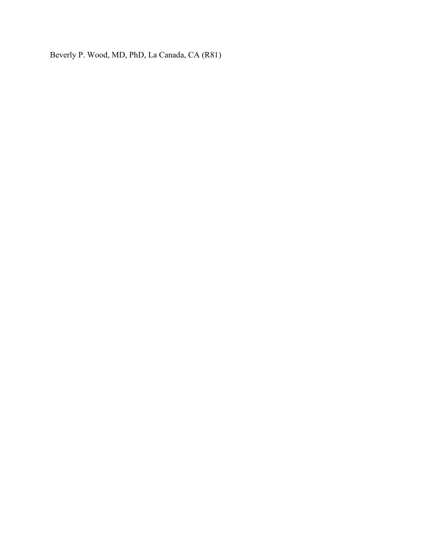Beverly P. Wood, MD, PhD, La Canada, CA (R81)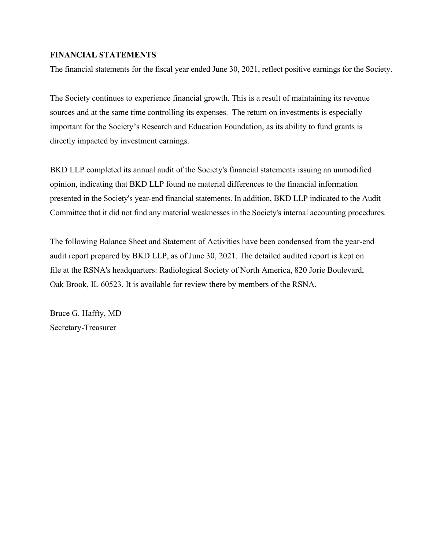### **FINANCIAL STATEMENTS**

The financial statements for the fiscal year ended June 30, 2021, reflect positive earnings for the Society.

The Society continues to experience financial growth. This is a result of maintaining its revenue sources and at the same time controlling its expenses. The return on investments is especially important for the Society's Research and Education Foundation, as its ability to fund grants is directly impacted by investment earnings.

BKD LLP completed its annual audit of the Society's financial statements issuing an unmodified opinion, indicating that BKD LLP found no material differences to the financial information presented in the Society's year-end financial statements. In addition, BKD LLP indicated to the Audit Committee that it did not find any material weaknesses in the Society's internal accounting procedures.

The following Balance Sheet and Statement of Activities have been condensed from the year-end audit report prepared by BKD LLP, as of June 30, 2021. The detailed audited report is kept on file at the RSNA's headquarters: Radiological Society of North America, 820 Jorie Boulevard, Oak Brook, IL 60523. It is available for review there by members of the RSNA.

Bruce G. Haffty, MD Secretary-Treasurer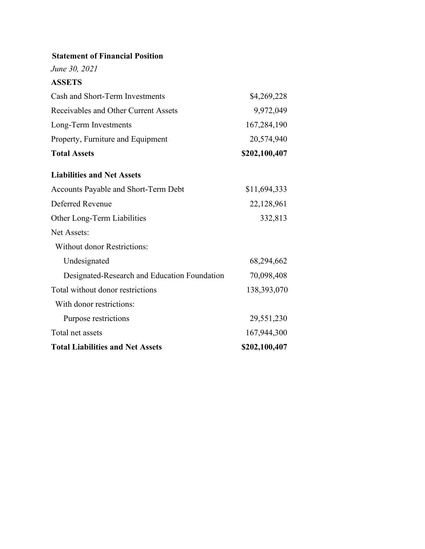*June 30, 2021*

# **ASSETS**

| Cash and Short-Term Investments              | \$4,269,228   |
|----------------------------------------------|---------------|
| Receivables and Other Current Assets         | 9,972,049     |
| Long-Term Investments                        | 167,284,190   |
| Property, Furniture and Equipment            | 20,574,940    |
| <b>Total Assets</b>                          | \$202,100,407 |
| <b>Liabilities and Net Assets</b>            |               |
| Accounts Payable and Short-Term Debt         | \$11,694,333  |
| Deferred Revenue                             | 22,128,961    |
| Other Long-Term Liabilities                  | 332,813       |
| Net Assets:                                  |               |
| <b>Without donor Restrictions:</b>           |               |
| Undesignated                                 | 68,294,662    |
| Designated-Research and Education Foundation | 70,098,408    |
| Total without donor restrictions             | 138,393,070   |
| With donor restrictions:                     |               |
| Purpose restrictions                         | 29,551,230    |
| Total net assets                             | 167,944,300   |
| <b>Total Liabilities and Net Assets</b>      | \$202,100,407 |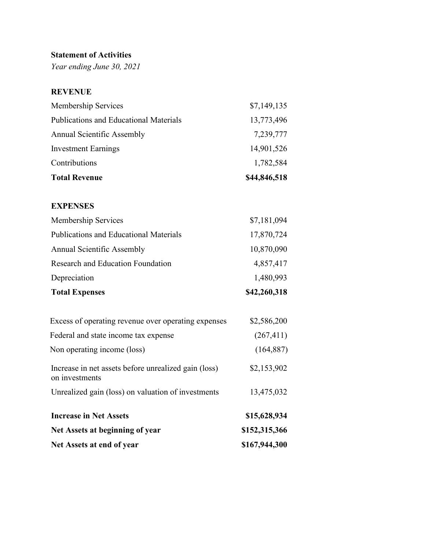# **Statement of Activities**

*Year ending June 30, 2021*

# **REVENUE**

| <b>Total Revenue</b>                          | \$44,846,518 |
|-----------------------------------------------|--------------|
| Contributions                                 | 1,782,584    |
| <b>Investment Earnings</b>                    | 14,901,526   |
| <b>Annual Scientific Assembly</b>             | 7,239,777    |
| <b>Publications and Educational Materials</b> | 13,773,496   |
| Membership Services                           | \$7,149,135  |

# **EXPENSES**

| <b>Total Expenses</b>                  | \$42,260,318 |
|----------------------------------------|--------------|
| Depreciation                           | 1,480,993    |
| Research and Education Foundation      | 4,857,417    |
| Annual Scientific Assembly             | 10,870,090   |
| Publications and Educational Materials | 17,870,724   |
| Membership Services                    | \$7,181,094  |

| Net Assets at end of year                                              | \$167,944,300 |
|------------------------------------------------------------------------|---------------|
| Net Assets at beginning of year                                        | \$152,315,366 |
| <b>Increase in Net Assets</b>                                          | \$15,628,934  |
| Unrealized gain (loss) on valuation of investments                     | 13,475,032    |
| Increase in net assets before unrealized gain (loss)<br>on investments | \$2,153,902   |
| Non operating income (loss)                                            | (164, 887)    |
| Federal and state income tax expense                                   | (267, 411)    |
| Excess of operating revenue over operating expenses                    | \$2,586,200   |